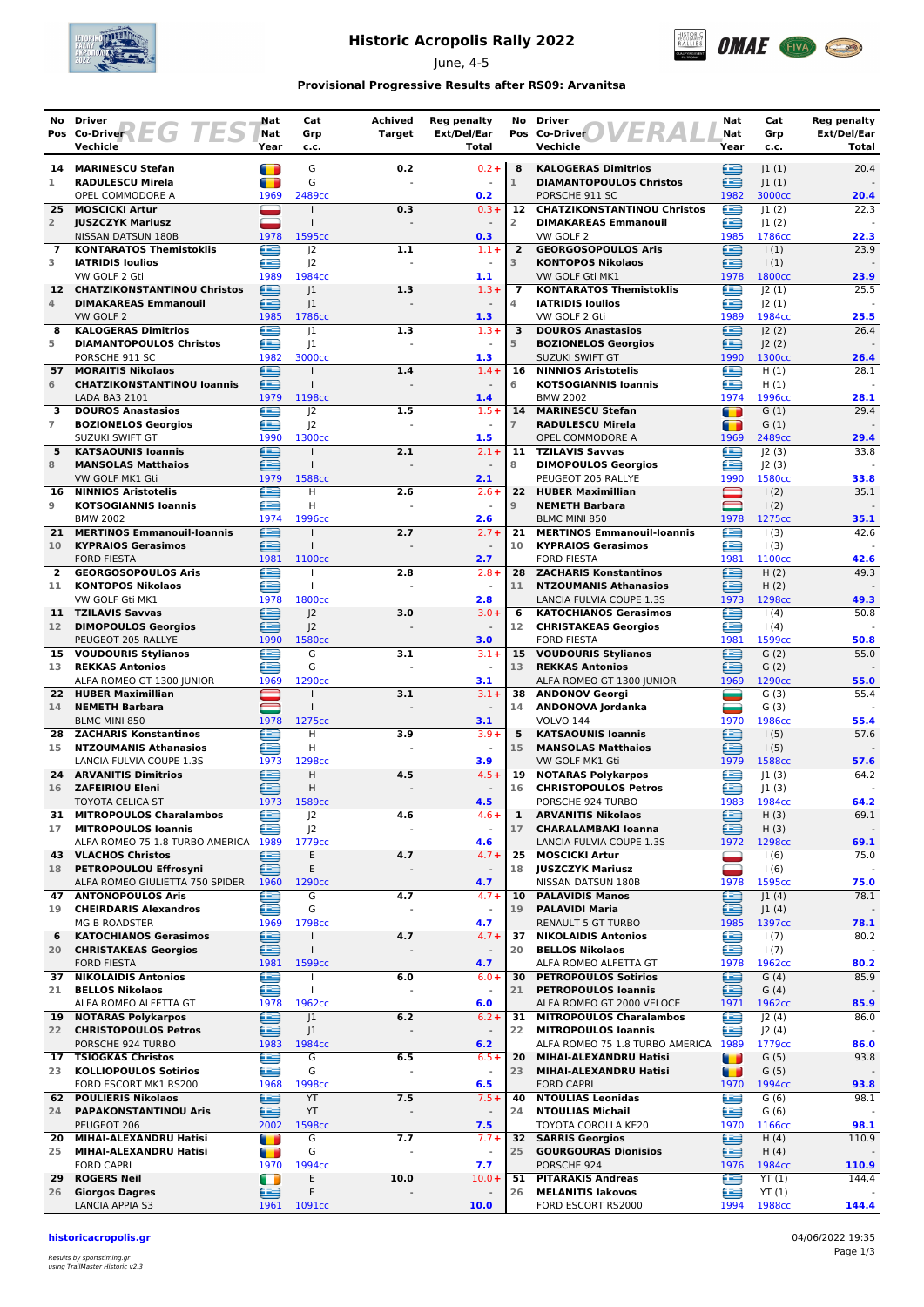

# **Historic Acropolis Rally 2022**

June, 4-5



### **Provisional Progressive Results after RS09: Arvanitsa**

|                 | No Driver                                                    | Nat                              | Cat                                  | <b>Achived</b>        | <b>Reg penalty</b>              |                      | No Driver                                                    | Nat                             | Cat                   | <b>Reg penalty</b>   |
|-----------------|--------------------------------------------------------------|----------------------------------|--------------------------------------|-----------------------|---------------------------------|----------------------|--------------------------------------------------------------|---------------------------------|-----------------------|----------------------|
|                 | Pos Co-Driver<br>H G<br>Vechicle                             | Nat<br>Year                      | Grp<br>c.c.                          | <b>Target</b>         | Ext/Del/Ear<br>Total            |                      | Pos Co-Driver<br>Vechicle                                    | Nat<br>Year                     | Grp<br>c.c.           | Ext/Del/Ear<br>Total |
|                 |                                                              |                                  |                                      |                       |                                 |                      |                                                              |                                 |                       |                      |
| 1               | 14 MARINESCU Stefan<br><b>RADULESCU Mirela</b>               | n<br>a se                        | G<br>G                               | 0.2                   | $0.2 +$                         | 8<br>$\mathbf{1}$    | <b>KALOGERAS Dimitrios</b><br><b>DIAMANTOPOULOS Christos</b> | ⋐<br>£                          | 1(1) <br> 1(1)        | 20.4                 |
|                 | OPEL COMMODORE A                                             | 1969                             | 2489cc                               |                       | 0.2                             |                      | PORSCHE 911 SC                                               | 1982                            | 3000cc                | 20.4                 |
| 25              | <b>MOSCICKI Artur</b>                                        |                                  |                                      | 0.3                   | $0.3 +$                         | 12                   | <b>CHATZIKONSTANTINOU Christos</b>                           | £                               | 1(2)                  | 22.3                 |
| $\overline{2}$  | <b>JUSZCZYK Mariusz</b>                                      |                                  | $\mathbf{I}$                         |                       | $\overline{\phantom{a}}$        | 2                    | <b>DIMAKAREAS Emmanouil</b>                                  | £                               | 1(2)                  |                      |
| 7               | NISSAN DATSUN 180B<br><b>KONTARATOS Themistoklis</b>         | 1978<br>œ                        | 1595cc<br> 2                         | 1.1                   | 0.3<br>$1.1 +$                  | $\overline{2}$       | VW GOLF 2<br><b>GEORGOSOPOULOS Aris</b>                      | 1985<br>鱼                       | 1786cc<br>$\vert$ (1) | 22.3<br>23.9         |
| 3               | <b>IATRIDIS Ioulios</b>                                      | æ                                | J <sub>2</sub>                       |                       | $\blacksquare$                  | 3                    | <b>KONTOPOS Nikolaos</b>                                     | œ                               | $\vert$ (1)           |                      |
|                 | VW GOLF 2 Gti                                                | 1989                             | 1984cc                               |                       | $\mathbf{1.1}$                  |                      | VW GOLF Gti MK1                                              | 1978                            | 1800 <sub>cc</sub>    | 23.9                 |
|                 | 12 CHATZIKONSTANTINOU Christos                               | ⊜                                | 1                                    | 1.3                   | $1.3+$                          | 7                    | <b>KONTARATOS Themistoklis</b>                               | ⋐                               | 2(1)                  | 25.5                 |
| 4               | <b>DIMAKAREAS Emmanouil</b><br>VW GOLF 2                     | ≘<br>1985                        | 1<br>1786cc                          |                       | $\blacksquare$<br>1.3           | 4                    | <b>IATRIDIS Ioulios</b><br>VW GOLF 2 Gti                     | £<br>1989                       | J2(1)<br>1984cc       | 25.5                 |
| 8               | <b>KALOGERAS Dimitrios</b>                                   | £                                | 1                                    | 1.3                   | $1.3 +$                         | 3                    | <b>DOUROS Anastasios</b>                                     | œ                               | 2(2)                  | 26.4                 |
| 5               | <b>DIAMANTOPOULOS Christos</b>                               | £                                | 1                                    |                       | $\sim$                          | 5                    | <b>BOZIONELOS Georgios</b>                                   | £                               | J2(2)                 |                      |
| 57              | PORSCHE 911 SC<br><b>MORAITIS Nikolaos</b>                   | 1982<br>∈                        | 3000cc<br>$\mathbf{I}$               | 1.4                   | 1.3<br>$1.4 +$                  | 16                   | <b>SUZUKI SWIFT GT</b><br><b>NINNIOS Aristotelis</b>         | 1990<br>£                       | 1300cc<br>H(1)        | 26.4<br>28.1         |
| 6               | <b>CHATZIKONSTANTINOU loannis</b>                            | £                                | $\mathbf{I}$                         |                       |                                 | 6                    | <b>KOTSOGIANNIS loannis</b>                                  | œ                               | H(1)                  |                      |
|                 | LADA BA3 2101                                                | 1979                             | 1198cc                               |                       | 1.4                             |                      | <b>BMW 2002</b>                                              | 1974                            | 1996cc                | 28.1                 |
| 3               | <b>DOUROS Anastasios</b>                                     | Œ                                | 2                                    | 1.5                   | $1.5+$                          | 14                   | <b>MARINESCU Stefan</b>                                      | т                               | G(1)                  | 29.4                 |
| $\overline{7}$  | <b>BOZIONELOS Georgios</b><br>SUZUKI SWIFT GT                | æ<br>1990                        | J <sup>2</sup><br>1300cc             |                       | 1.5                             | $\overline{7}$       | <b>RADULESCU Mirela</b><br>OPEL COMMODORE A                  | m<br>1969                       | G(1)<br>2489cc        | 29.4                 |
| 5               | <b>KATSAOUNIS Ioannis</b>                                    | æ                                |                                      | 2.1                   | $2.1 +$                         |                      | 11 TZILAVIS Savvas                                           | Æ                               | 2(3)                  | 33.8                 |
| 8               | <b>MANSOLAS Matthaios</b>                                    | £                                | $\mathbf{I}$                         |                       | $\overline{\phantom{a}}$        | 8                    | <b>DIMOPOULOS Georgios</b>                                   | œ                               | 2(3)                  |                      |
|                 | VW GOLF MK1 Gti                                              | 1979                             | 1588cc                               |                       | 2.1                             |                      | PEUGEOT 205 RALLYE                                           | 1990                            | 1580cc                | 33.8                 |
| 16<br>9         | <b>NINNIOS Aristotelis</b><br><b>KOTSOGIANNIS loannis</b>    | œ<br>œ                           | H<br>H                               | 2.6                   | $2.6+$                          | 22<br>$\overline{9}$ | <b>HUBER Maximillian</b><br><b>NEMETH Barbara</b>            | $\blacksquare$<br>—             | 1(2)<br>1(2)          | 35.1                 |
|                 | <b>BMW 2002</b>                                              | 1974                             | 1996cc                               |                       | 2.6                             |                      | <b>BLMC MINI 850</b>                                         | 1978                            | 1275cc                | 35.1                 |
| 21              | <b>MERTINOS Emmanouil-Ioannis</b>                            | G                                |                                      | 2.7                   | $2.7 +$                         | 21                   | <b>MERTINOS Emmanouil-Ioannis</b>                            | £                               | 1(3)                  | 42.6                 |
| 10              | <b>KYPRAIOS Gerasimos</b>                                    | æ                                | $\mathbf{I}$                         |                       | $\overline{\phantom{a}}$        | 10                   | <b>KYPRAIOS Gerasimos</b>                                    | £                               | 1(3)                  |                      |
| $\overline{2}$  | <b>FORD FIESTA</b><br><b>GEORGOSOPOULOS Aris</b>             | 1981<br>酉                        | 1100cc                               | 2.8                   | 2.7<br>$2.8 +$                  |                      | <b>FORD FIESTA</b><br>28 ZACHARIS Konstantinos               | 1981<br>æ                       | 1100cc<br>H(2)        | 42.6<br>49.3         |
| 11              | <b>KONTOPOS Nikolaos</b>                                     | œ                                | $\mathbf{I}$                         |                       | $\sim$                          | 11                   | <b>NTZOUMANIS Athanasios</b>                                 | £                               | H(2)                  |                      |
|                 | VW GOLF Gti MK1                                              | 1978                             | 1800cc                               |                       | 2.8                             |                      | LANCIA FULVIA COUPE 1.3S                                     | 1973                            | 1298cc                | 49.3                 |
| 11              | <b>TZILAVIS Savvas</b>                                       | ≘                                | 2                                    | 3.0                   | $3.0 +$                         | 6                    | <b>KATOCHIANOS Gerasimos</b>                                 | £                               | 1(4)                  | 50.8                 |
| 12 <sup>7</sup> | <b>DIMOPOULOS Georgios</b><br>PEUGEOT 205 RALLYE             | ∈<br>1990                        | J <sup>2</sup><br>1580 <sub>cc</sub> |                       | 3.0                             | 12                   | <b>CHRISTAKEAS Georgios</b><br><b>FORD FIESTA</b>            | £<br>1981                       | (4)<br>1599cc         | 50.8                 |
|                 | 15 VOUDOURIS Stylianos                                       | œ                                | G                                    | 3.1                   | $3.1 +$                         | 15                   | <b>VOUDOURIS Stylianos</b>                                   | ≘                               | G(2)                  | 55.0                 |
| 13              | <b>REKKAS Antonios</b>                                       | æ                                | G                                    |                       | ÷.                              | 13                   | <b>REKKAS Antonios</b>                                       | æ                               | G(2)                  |                      |
|                 | ALFA ROMEO GT 1300 JUNIOR                                    | 1969                             | 1290cc                               |                       | 3.1                             |                      | ALFA ROMEO GT 1300 JUNIOR                                    | 1969                            | 1290cc                | 55.0                 |
| 14              | 22 HUBER Maximillian<br><b>NEMETH Barbara</b>                |                                  | $\mathbf{I}$                         | 3.1                   | $3.1 +$<br>$\blacksquare$       | 14                   | 38 ANDONOV Georgi<br>ANDONOVA Jordanka                       | ▄<br>_                          | G(3)<br>G(3)          | 55.4                 |
|                 | <b>BLMC MINI 850</b>                                         | 1978                             | 1275cc                               |                       | 3.1                             |                      | <b>VOLVO 144</b>                                             | 1970                            | 1986cc                | 55.4                 |
| 28.             | <b>ZACHARIS Konstantinos</b>                                 | œ                                | H                                    | 3.9                   | $3.9+$                          | 5                    | <b>KATSAOUNIS Ioannis</b>                                    | £                               | 1(5)                  | 57.6                 |
| 15              | <b>NTZOUMANIS Athanasios</b><br>LANCIA FULVIA COUPE 1.3S     | e<br>1973                        | H<br>1298cc                          |                       | 3.9                             | 15                   | <b>MANSOLAS Matthaios</b><br>VW GOLF MK1 Gti                 | £<br>1979                       | 1(5)<br>1588cc        | 57.6                 |
| 24              | <b>ARVANITIS Dimitrios</b>                                   | Œ                                | Н                                    | 4.5                   | $4.5+$                          | 19                   | <b>NOTARAS Polykarpos</b>                                    | œ                               | 1(3)                  | 64.2                 |
| 16              | <b>ZAFEIRIOU Eleni</b>                                       | Œ                                | н                                    |                       | $\sim$                          | 16                   | <b>CHRISTOPOULOS Petros</b>                                  | £                               | 1(3)                  |                      |
|                 | TOYOTA CELICA ST                                             | 1973                             | 1589cc                               |                       | 4.5                             |                      | PORSCHE 924 TURBO                                            | 1983                            | 1984cc                | 64.2                 |
| 31<br>17        | <b>MITROPOULOS Charalambos</b><br><b>MITROPOULOS Ioannis</b> | ⋐<br>æ                           | J2<br>J <sup>2</sup>                 | 4.6                   | $4.6 +$<br>$\Box$               | 1<br>17              | <b>ARVANITIS Nikolaos</b><br><b>CHARALAMBAKI Ioanna</b>      | ఆ<br>ఆ                          | H(3)<br>H(3)          | 69.1                 |
|                 | ALFA ROMEO 75 1.8 TURBO AMERICA 1989                         |                                  | 1779cc                               |                       | 4.6                             |                      | LANCIA FULVIA COUPE 1.3S                                     | 1972                            | 1298cc                | 69.1                 |
|                 | <b>43 VLACHOS Christos</b>                                   | £                                | Ε                                    | 4.7                   | $4.7 +$                         | 25                   | <b>MOSCICKI Artur</b>                                        | -                               | 1(6)                  | 75.0                 |
| 18              | PETROPOULOU Effrosyni                                        | ≘                                | Ε                                    | $\blacksquare$        | $\overline{\phantom{a}}$        | 18                   | <b>JUSZCZYK Mariusz</b>                                      | $\hspace{1cm}$ $\hspace{1.5cm}$ | 1(6)                  |                      |
| 47              | ALFA ROMEO GIULIETTA 750 SPIDER<br><b>ANTONOPOULOS Aris</b>  | 1960<br>e                        | 1290cc<br>G                          | 4.7                   | 4.7<br>$4.7 +$                  | 10                   | NISSAN DATSUN 180B<br><b>PALAVIDIS Manos</b>                 | 1978<br>≘                       | 1595cc<br>J1(4)       | 75.0<br>78.1         |
| 19              | <b>CHEIRDARIS Alexandros</b>                                 | ఆ                                | G                                    |                       | $\blacksquare$                  | 19                   | <b>PALAVIDI Maria</b>                                        | ≘                               | J1(4)                 |                      |
|                 | <b>MG B ROADSTER</b>                                         | 1969                             | 1798cc                               |                       | 4.7                             |                      | <b>RENAULT 5 GT TURBO</b>                                    | 1985                            | 1397cc                | 78.1                 |
| 6               | <b>KATOCHIANOS Gerasimos</b>                                 | G                                |                                      | 4.7                   | $4.7 +$                         | 37                   | <b>NIKOLAIDIS Antonios</b>                                   | œ                               | 1(7)                  | 80.2                 |
| 20              | <b>CHRISTAKEAS Georgios</b><br><b>FORD FIESTA</b>            | ∈<br>1981                        | $\mathbf{I}$<br>1599 <sub>cc</sub>   |                       | $\overline{\phantom{a}}$<br>4.7 | 20                   | <b>BELLOS Nikolaos</b><br>ALFA ROMEO ALFETTA GT              | e<br>1978                       | 1(7)<br>1962cc        | 80.2                 |
| 37              | <b>NIKOLAIDIS Antonios</b>                                   | €                                | $\mathbf{I}$                         | 6.0                   | $6.0+$                          | 30                   | <b>PETROPOULOS Sotirios</b>                                  | €                               | G(4)                  | 85.9                 |
| 21              | <b>BELLOS Nikolaos</b>                                       | £                                | $\mathbf{I}$                         |                       |                                 | 21                   | <b>PETROPOULOS Ioannis</b>                                   | £                               | G(4)                  |                      |
|                 | ALFA ROMEO ALFETTA GT                                        | 1978                             | 1962 <sub>cc</sub>                   |                       | 6.0                             |                      | ALFA ROMEO GT 2000 VELOCE                                    | 1971                            | 1962cc                | 85.9                 |
| 19<br>22        | <b>NOTARAS Polykarpos</b><br><b>CHRISTOPOULOS Petros</b>     | ∈<br>ఆ                           | J <sub>1</sub><br>J <sub>1</sub>     | 6.2<br>$\blacksquare$ | $6.2 +$<br>$\blacksquare$       | 31<br>22             | <b>MITROPOULOS Charalambos</b><br><b>MITROPOULOS Ioannis</b> | £<br>œ                          | J2(4)<br>J2(4)        | 86.0                 |
|                 | PORSCHE 924 TURBO                                            | 1983                             | 1984cc                               |                       | 6.2                             |                      | ALFA ROMEO 75 1.8 TURBO AMERICA 1989                         |                                 | 1779cc                | 86.0                 |
|                 | 17 TSIOGKAS Christos                                         | ⊟                                | G                                    | 6.5                   | $6.5+$                          |                      | 20 MIHAI-ALEXANDRU Hatisi                                    | т                               | G(5)                  | 93.8                 |
| 23              | <b>KOLLIOPOULOS Sotirios</b><br>FORD ESCORT MK1 RS200        | €<br>1968                        | G<br>1998 <sub>cc</sub>              |                       | $\overline{\phantom{a}}$<br>6.5 | 23                   | MIHAI-ALEXANDRU Hatisi<br><b>FORD CAPRI</b>                  | т<br>1970                       | G(5)<br>1994cc        | 93.8                 |
|                 | 62 POULIERIS Nikolaos                                        | ∈                                | YT                                   | 7.5                   | $7.5+$                          | 40                   | <b>NTOULIAS Leonidas</b>                                     | £                               | G(6)                  | 98.1                 |
| 24              | <b>PAPAKONSTANTINOU Aris</b>                                 | £                                | YT                                   |                       | $\blacksquare$                  | 24                   | <b>NTOULIAS Michail</b>                                      | £                               | G(6)                  |                      |
|                 | PEUGEOT 206                                                  | 2002                             | 1598cc                               |                       | 7.5                             |                      | TOYOTA COROLLA KE20                                          | 1970                            | 1166cc                | 98.1                 |
| 20<br>25        | MIHAI-ALEXANDRU Hatisi<br>MIHAI-ALEXANDRU Hatisi             | $\blacksquare$<br>$\blacksquare$ | G<br>G                               | 7.7                   | $7.7 +$<br>$\blacksquare$       | 25                   | <b>32 SARRIS Georgios</b><br><b>GOURGOURAS Dionisios</b>     | ≘<br>⊟                          | H(4)<br>H(4)          | 110.9                |
|                 | <b>FORD CAPRI</b>                                            | 1970                             | 1994cc                               |                       | 7.7                             |                      | PORSCHE 924                                                  | 1976                            | 1984 <sub>cc</sub>    | 110.9                |
| 29              | <b>ROGERS Neil</b>                                           | $\blacksquare$                   | Ε                                    | 10.0                  | $10.0+$                         | 51                   | <b>PITARAKIS Andreas</b>                                     | €                               | YT(1)                 | 144.4                |
| 26              | <b>Giorgos Dagres</b>                                        | ⊜                                | Ε                                    |                       |                                 | 26                   | <b>MELANITIS lakovos</b>                                     | £                               | YT(1)                 |                      |
|                 | <b>LANCIA APPIA S3</b>                                       | 1961                             | 1091cc                               |                       | 10.0                            |                      | FORD ESCORT RS2000                                           | 1994                            | 1988 <sub>cc</sub>    | 144.4                |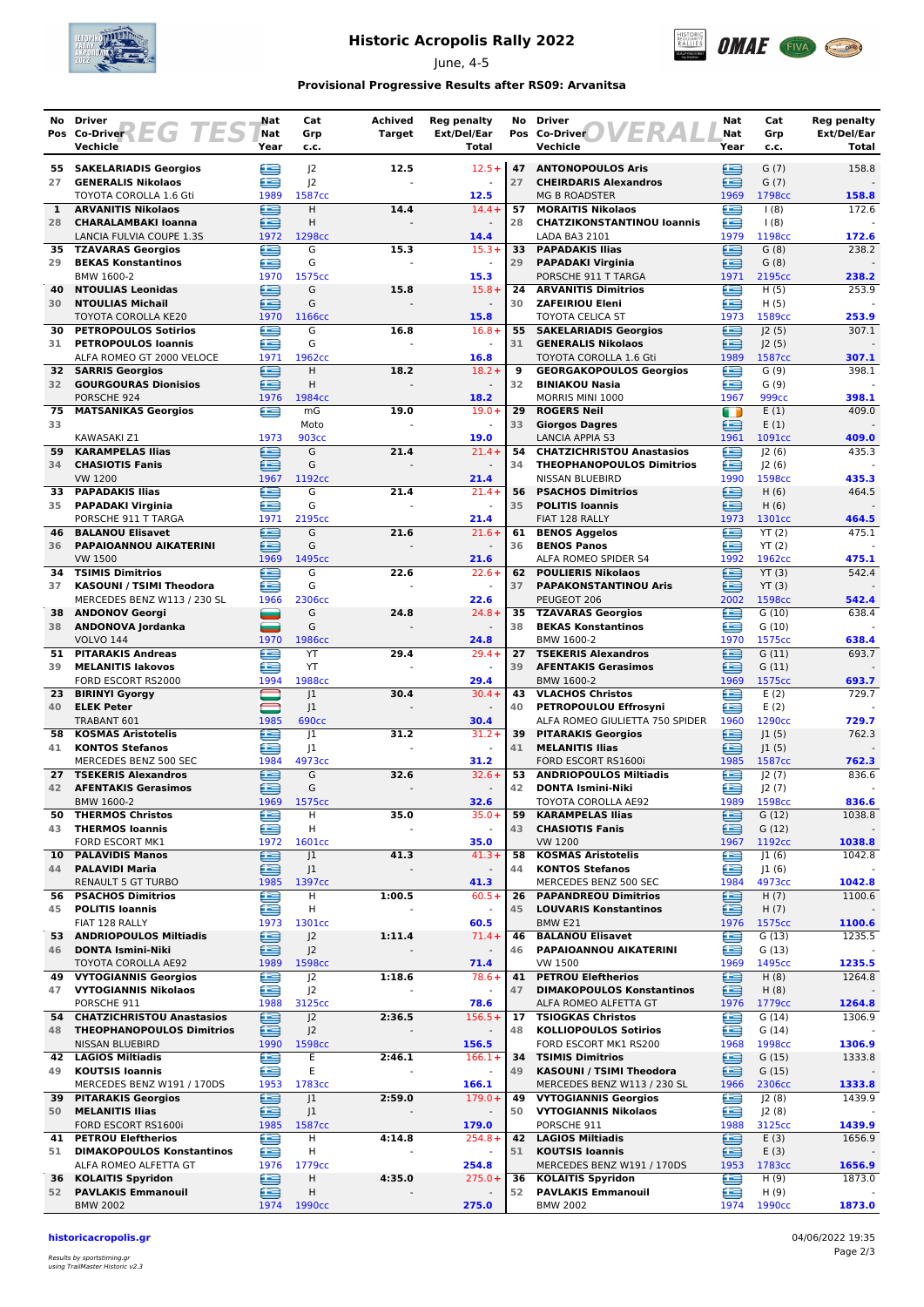

## **Historic Acropolis Rally 2022**

June, 4-5



### **Provisional Progressive Results after RS09: Arvanitsa**

| No        | Driver                                                   | Nat            | Cat                              | <b>Achived</b> | Reg penalty                       | No       | Driver                                                               | Nat         | Cat                         | <b>Reg penalty</b>          |
|-----------|----------------------------------------------------------|----------------|----------------------------------|----------------|-----------------------------------|----------|----------------------------------------------------------------------|-------------|-----------------------------|-----------------------------|
|           | Pos Co-Driver EG TES<br>Vechicle                         | Nat<br>Year    | Grp<br>c.c.                      | <b>Target</b>  | Ext/Del/Ear<br>Total              |          | VERA<br>Pos Co-Driver<br>Vechicle                                    | Nat<br>Year | Grp<br>c.c.                 | Ext/Del/Ear<br><b>Total</b> |
| 55.       | <b>SAKELARIADIS Georgios</b>                             | ⋐              | 2                                | 12.5           | $12.5+$                           | 47       | <b>ANTONOPOULOS Aris</b>                                             | ∈           | G(7)                        | 158.8                       |
| 27        | <b>GENERALIS Nikolaos</b><br>TOYOTA COROLLA 1.6 Gti      | £              | 2                                |                |                                   | 27       | <b>CHEIRDARIS Alexandros</b><br><b>MG B ROADSTER</b>                 | ⋐           | G(7)                        |                             |
| 1         | <b>ARVANITIS Nikolaos</b>                                | 1989<br>≘      | 1587cc<br>H                      | 14.4           | 12.5<br>$14.4 +$                  | 57       | <b>MORAITIS Nikolaos</b>                                             | 1969<br>£   | 1798cc<br>1(8)              | 158.8<br>172.6              |
| 28        | <b>CHARALAMBAKI Ioanna</b>                               | ∈              | Н                                |                |                                   | 28       | <b>CHATZIKONSTANTINOU loannis</b>                                    | ∈           | (8)                         |                             |
|           | LANCIA FULVIA COUPE 1.3S                                 | 1972           | 1298cc                           |                | 14.4                              |          | LADA BA3 2101                                                        | 1979<br>£   | 1198cc                      | 172.6                       |
| 35.<br>29 | <b>TZAVARAS Georgios</b><br><b>BEKAS Konstantinos</b>    | £<br>Æ         | G<br>G                           | 15.3           | $15.3+$                           | 33<br>29 | <b>PAPADAKIS Ilias</b><br><b>PAPADAKI Virginia</b>                   | ≘           | G(8)<br>G(8)                | 238.2                       |
|           | BMW 1600-2                                               | 1970           | 1575cc                           |                | 15.3                              |          | PORSCHE 911 T TARGA                                                  | 1971        | 2195cc                      | 238.2                       |
| 40        | <b>NTOULIAS Leonidas</b>                                 | œ              | G                                | 15.8           | $15.8+$                           | 24<br>30 | <b>ARVANITIS Dimitrios</b>                                           | ⋐           | H(5)                        | 253.9                       |
| 30        | <b>NTOULIAS Michail</b><br><b>TOYOTA COROLLA KE20</b>    | ⊟<br>1970      | G<br>1166cc                      |                | $\blacksquare$<br>15.8            |          | <b>ZAFEIRIOU Eleni</b><br><b>TOYOTA CELICA ST</b>                    | ≘<br>1973   | H(5)<br>1589cc              | 253.9                       |
| 30        | <b>PETROPOULOS Sotirios</b>                              | £              | G                                | 16.8           | $16.8 +$                          |          | 55 SAKELARIADIS Georgios                                             | Œ           | J2(5)                       | 307.1                       |
| 31        | <b>PETROPOULOS Ioannis</b><br>ALFA ROMEO GT 2000 VELOCE  | £<br>1971      | G<br>1962 <sub>cc</sub>          |                | $\omega$<br>16.8                  | 31       | <b>GENERALIS Nikolaos</b><br>TOYOTA COROLLA 1.6 Gti                  | ∈<br>1989   | J2(5)<br>1587cc             | 307.1                       |
|           | <b>32 SARRIS Georgios</b>                                | œ              | Н                                | 18.2           | $18.2 +$                          | 9        | <b>GEORGAKOPOULOS Georgios</b>                                       | œ           | G(9)                        | 398.1                       |
| 32        | <b>GOURGOURAS Dionisios</b>                              | £              | Η                                |                |                                   | 32       | <b>BINIAKOU Nasia</b>                                                | œ           | G(9)                        |                             |
| 75        | PORSCHE 924<br><b>MATSANIKAS Georgios</b>                | 1976<br>œ      | 1984 <sub>cc</sub><br>mg         | 19.0           | 18.2<br>$19.0+$                   | 29       | MORRIS MINI 1000<br><b>ROGERS Neil</b>                               | 1967<br>O   | 999 <sub>cc</sub><br>E(1)   | 398.1<br>409.0              |
| 33        |                                                          |                | Moto                             |                |                                   | 33       | <b>Giorgos Dagres</b>                                                | £           | E(1)                        |                             |
|           | KAWASAKI Z1                                              | 1973           | 903 <sub>cc</sub>                |                | 19.0                              |          | <b>LANCIA APPIA S3</b>                                               | 1961        | 1091cc                      | 409.0                       |
| 59<br>34  | <b>KARAMPELAS Ilias</b><br><b>CHASIOTIS Fanis</b>        | œ<br>≘         | G<br>G                           | 21.4           | $21.4 +$                          | 54<br>34 | <b>CHATZICHRISTOU Anastasios</b><br><b>THEOPHANOPOULOS Dimitrios</b> | æ<br>£      | J2(6)<br>J2(6)              | 435.3                       |
|           | <b>VW 1200</b>                                           | 1967           | 1192cc                           |                | 21.4                              |          | NISSAN BLUEBIRD                                                      | 1990        | 1598cc                      | 435.3                       |
| 33        | <b>PAPADAKIS Ilias</b>                                   | £              | G                                | 21.4           | $21.4 +$                          | 56       | <b>PSACHOS Dimitrios</b>                                             | œ           | H(6)                        | 464.5                       |
| 35        | <b>PAPADAKI Virginia</b><br>PORSCHE 911 T TARGA          | œ<br>1971      | G<br>2195 <sub>cc</sub>          |                | 21.4                              | 35       | <b>POLITIS Ioannis</b><br>FIAT 128 RALLY                             | £<br>1973   | H(6)<br>1301cc              | 464.5                       |
| 46        | <b>BALANOU Elisavet</b>                                  | ఆ              | G                                | 21.6           | $21.6+$                           | 61       | <b>BENOS Aggelos</b>                                                 | œ           | YT(2)                       | 475.1                       |
| 36        | <b>PAPAIOANNOU AIKATERINI</b>                            | £              | G                                |                | $\sim$                            | 36       | <b>BENOS Panos</b>                                                   | £           | YT(2)                       |                             |
| 34        | <b>VW 1500</b><br><b>TSIMIS Dimitrios</b>                | 1969<br>Æ      | 1495cc<br>G                      | 22.6           | 21.6<br>$22.6+$                   |          | ALFA ROMEO SPIDER S4<br>62 POULIERIS Nikolaos                        | 1992<br>æ   | 1962 <sub>cc</sub><br>YT(3) | 475.1<br>542.4              |
| 37        | KASOUNI / TSIMI Theodora                                 | £              | G                                |                | $\omega$                          | 37       | <b>PAPAKONSTANTINOU Aris</b>                                         | ఆ           | YT(3)                       |                             |
|           | MERCEDES BENZ W113 / 230 SL                              | 1966           | 2306cc                           |                | 22.6                              |          | PEUGEOT 206                                                          | 2002        | 1598cc                      | 542.4                       |
| 38<br>38  | <b>ANDONOV Georgi</b><br>ANDONOVA Jordanka               | ═<br>_         | G<br>G                           | 24.8           | $24.8 +$                          | 35<br>38 | <b>TZAVARAS Georgios</b><br><b>BEKAS Konstantinos</b>                | œ<br>œ      | G(10)<br>G(10)              | 638.4                       |
|           | <b>VOLVO 144</b>                                         | 1970           | 1986cc                           |                | 24.8                              |          | BMW 1600-2                                                           | 1970        | 1575cc                      | 638.4                       |
| 51        | <b>PITARAKIS Andreas</b>                                 | £              | YT                               | 29.4           | $29.4 +$                          | 27       | <b>TSEKERIS Alexandros</b>                                           | œ           | G(11)                       | 693.7                       |
| 39        | <b>MELANITIS lakovos</b><br>FORD ESCORT RS2000           | æ<br>1994      | YT<br>1988cc                     |                | $\sim$<br>29.4                    | 39       | <b>AFENTAKIS Gerasimos</b><br>BMW 1600-2                             | æ<br>1969   | G(11)<br>1575cc             | 693.7                       |
|           | 23 BIRINYI Gyorgy                                        | $\blacksquare$ | 1                                | 30.4           | $30.4 +$                          | 43       | <b>VLACHOS Christos</b>                                              | £           | E(2)                        | 729.7                       |
| 40        | <b>ELEK Peter</b>                                        |                | J1                               |                | $\omega$                          | 40       | PETROPOULOU Effrosyni                                                | ⋐           | E(2)                        |                             |
| 58        | TRABANT 601<br><b>KOSMAS Aristotelis</b>                 | 1985<br>œ      | <b>690cc</b><br> 1               | 31.2           | 30.4<br>$31.2 +$                  | 39       | ALFA ROMEO GIULIETTA 750 SPIDER<br><b>PITARAKIS Georgios</b>         | 1960<br>≘   | 1290cc<br>J1(5)             | 729.7<br>762.3              |
| 41        | <b>KONTOS Stefanos</b>                                   | £              | 1                                |                |                                   | 41       | <b>MELANITIS Ilias</b>                                               | e           | 1(5)                        |                             |
|           | MERCEDES BENZ 500 SEC                                    | 1984<br>æ      | 4973cc<br>G                      |                | 31.2<br>$32.6+$                   | 53       | FORD ESCORT RS1600i                                                  | 1985<br>≘   | 1587cc                      | 762.3<br>836.6              |
| 27<br>42  | <b>TSEKERIS Alexandros</b><br><b>AFENTAKIS Gerasimos</b> | ∈              | G                                | 32.6           |                                   | 42       | <b>ANDRIOPOULOS Miltiadis</b><br><b>DONTA Ismini-Niki</b>            | ∈           | J2(7)<br>J2(7)              |                             |
|           | BMW 1600-2                                               | 1969           | 1575cc                           |                | 32.6                              |          | TOYOTA COROLLA AE92                                                  | 1989        | 1598cc                      | 836.6                       |
| 50<br>43  | <b>THERMOS Christos</b><br><b>THERMOS loannis</b>        | œ<br>£         | н<br>н                           | 35.0           | $35.0+$<br>$\blacksquare$         | 59<br>43 | <b>KARAMPELAS Ilias</b><br><b>CHASIOTIS Fanis</b>                    | e<br>∈      | G(12)<br>G(12)              | 1038.8                      |
|           | FORD ESCORT MK1                                          | 1972           | 1601cc                           |                | 35.0                              |          | <b>VW 1200</b>                                                       | 1967        | 1192cc                      | 1038.8                      |
| 10        | <b>PALAVIDIS Manos</b>                                   | e              | J <sub>1</sub>                   | 41.3           | $41.3+$                           | 58       | <b>KOSMAS Aristotelis</b>                                            | œ           | J1(6)                       | 1042.8                      |
| 44        | <b>PALAVIDI Maria</b><br><b>RENAULT 5 GT TURBO</b>       | ē<br>1985      | J1<br>1397cc                     |                | $\overline{\phantom{a}}$<br>41.3  | 44       | <b>KONTOS Stefanos</b><br>MERCEDES BENZ 500 SEC                      | £<br>1984   | J1(6)<br>4973cc             | 1042.8                      |
| 56        | <b>PSACHOS Dimitrios</b>                                 | ≘              | н                                | 1:00.5         | $60.5+$                           | 26       | <b>PAPANDREOU Dimitrios</b>                                          | ≘           | H(7)                        | 1100.6                      |
| 45        | <b>POLITIS Ioannis</b><br>FIAT 128 RALLY                 | œ              | н<br>1301cc                      |                | $\blacksquare$                    | 45       | <b>LOUVARIS Konstantinos</b>                                         | ⋐           | H(7)                        |                             |
|           | 53 ANDRIOPOULOS Miltiadis                                | 1973<br>⊜      | J <sup>2</sup>                   | 1:11.4         | 60.5<br>$71.4 +$                  | 46       | BMW E21<br><b>BALANOU Elisavet</b>                                   | 1976<br>€   | 1575cc<br>G(13)             | 1100.6<br>1235.5            |
| 46        | <b>DONTA Ismini-Niki</b>                                 | £              | J <sub>2</sub>                   |                | $\blacksquare$                    | 46       | PAPAIOANNOU AIKATERINI                                               | e           | G(13)                       |                             |
|           | TOYOTA COROLLA AE92                                      | 1989           | 1598cc                           |                | 71.4                              |          | VW 1500                                                              | 1969        | 1495cc                      | 1235.5                      |
| 47        | 49 VYTOGIANNIS Georgios<br><b>VYTOGIANNIS Nikolaos</b>   | ⊜<br>≘         | J <sub>2</sub><br>J <sub>2</sub> | 1:18.6         | $78.6+$                           | 41<br>47 | <b>PETROU Eleftherios</b><br><b>DIMAKOPOULOS Konstantinos</b>        | ⊜<br>è      | H(8)<br>H(8)                | 1264.8                      |
|           | PORSCHE 911                                              | 1988           | 3125cc                           |                | 78.6                              |          | ALFA ROMEO ALFETTA GT                                                | 1976        | 1779 <sub>cc</sub>          | 1264.8                      |
| 54        | <b>CHATZICHRISTOU Anastasios</b>                         | Œ              | J <sub>2</sub>                   | 2:36.5         | $156.5+$                          | 17<br>48 | <b>TSIOGKAS Christos</b>                                             | £           | G(14)                       | 1306.9                      |
| 48        | <b>THEOPHANOPOULOS Dimitrios</b><br>NISSAN BLUEBIRD      | ఆ<br>1990      | J <sup>2</sup><br>1598cc         |                | $\overline{\phantom{a}}$<br>156.5 |          | <b>KOLLIOPOULOS Sotirios</b><br>FORD ESCORT MK1 RS200                | œ<br>1968   | G(14)<br>1998cc             | 1306.9                      |
|           | 42 LAGIOS Miltiadis                                      | €              | Ε                                | 2:46.1         | $166.1+$                          | 34       | <b>TSIMIS Dimitrios</b>                                              | ≘           | G(15)                       | 1333.8                      |
| 49        | <b>KOUTSIS Ioannis</b><br>MERCEDES BENZ W191 / 170DS     | €<br>1953      | Ε<br>1783cc                      | $\blacksquare$ | $\blacksquare$<br>166.1           | 49       | KASOUNI / TSIMI Theodora<br>MERCEDES BENZ W113 / 230 SL              | ఆ<br>1966   | G(15)<br>2306cc             | 1333.8                      |
| 39        | <b>PITARAKIS Georgios</b>                                | ⊜              | J1                               | 2:59.0         | $179.0+$                          | 49       | <b>VYTOGIANNIS Georgios</b>                                          | ∈           | J2(8)                       | 1439.9                      |
| 50        | <b>MELANITIS Ilias</b>                                   | œ              | J1                               |                | $\sim$                            | 50       | <b>VYTOGIANNIS Nikolaos</b>                                          | œ           | J2(8)                       |                             |
| 41        | FORD ESCORT RS1600i<br><b>PETROU Eleftherios</b>         | 1985<br>£      | 1587cc<br>н                      | 4:14.8         | 179.0<br>$254.8+$                 |          | PORSCHE 911<br>42 LAGIOS Miltiadis                                   | 1988<br>£   | 3125cc<br>E(3)              | 1439.9<br>1656.9            |
| 51        | <b>DIMAKOPOULOS Konstantinos</b>                         | ≌              | н                                |                | $\blacksquare$                    | 51       | <b>KOUTSIS Ioannis</b>                                               | ≘           | E(3)                        |                             |
|           | ALFA ROMEO ALFETTA GT                                    | 1976           | 1779 <sub>cc</sub>               |                | 254.8                             |          | MERCEDES BENZ W191 / 170DS                                           | 1953        | 1783cc                      | 1656.9                      |
| 36<br>52  | <b>KOLAITIS Spyridon</b><br><b>PAVLAKIS Emmanouil</b>    | ⊜<br>⊜         | н<br>Н                           | 4:35.0         | $275.0+$                          | 36<br>52 | <b>KOLAITIS Spyridon</b><br><b>PAVLAKIS Emmanouil</b>                | €<br>e      | H(9)<br>H(9)                | 1873.0                      |
|           | <b>BMW 2002</b>                                          | 1974           | 1990 <sub>cc</sub>               |                | 275.0                             |          | <b>BMW 2002</b>                                                      | 1974        | 1990cc                      | 1873.0                      |

#### **historicacropolis.gr** 04/06/2022 19:35

Results by sportstiming.gr using TrailMaster Historic v2.3